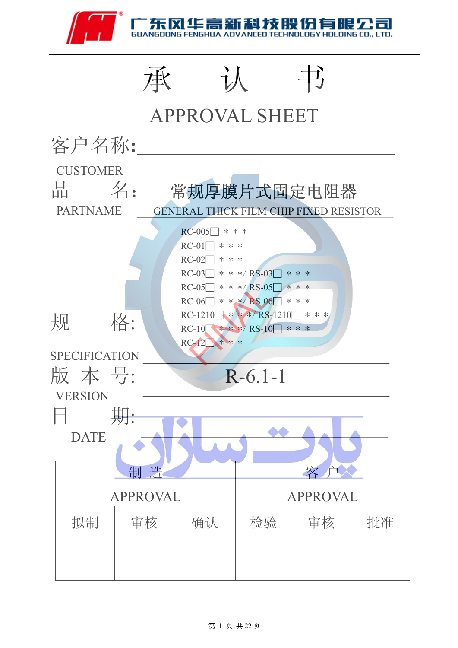



#### 第 1 页 共 22 页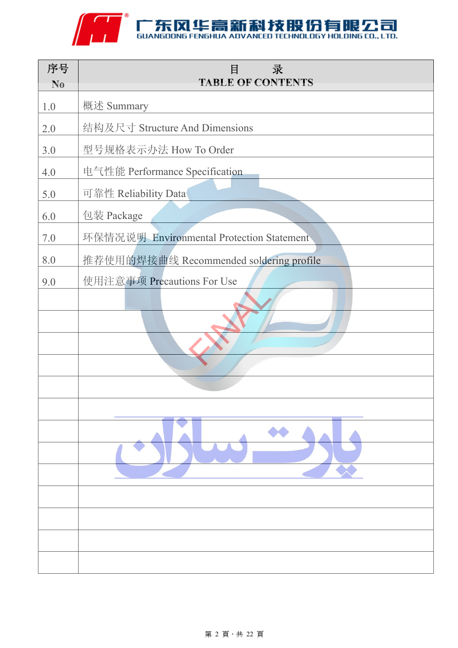

| 序号<br>N <sub>0</sub> | 录<br>目<br><b>TABLE OF CONTENTS</b>        |
|----------------------|-------------------------------------------|
| 1.0                  | 概述 Summary                                |
| 2.0                  | 结构及尺寸 Structure And Dimensions            |
| 3.0                  | 型号规格表示办法 How To Order                     |
| 4.0                  | 电气性能 Performance Specification            |
| 5.0                  | 可靠性 Reliability Data                      |
| 6.0                  | 包装 Package                                |
| $7.0\,$              | 环保情况说明 Environmental Protection Statement |
| 8.0                  | 推荐使用的焊接曲线 Recommended soldering profile   |
| 9.0                  | 使用注意事项 Precautions For Use                |
|                      |                                           |
|                      |                                           |
|                      |                                           |
|                      |                                           |
|                      |                                           |
|                      |                                           |
|                      |                                           |
|                      |                                           |
|                      |                                           |
|                      |                                           |
|                      |                                           |
|                      |                                           |
|                      |                                           |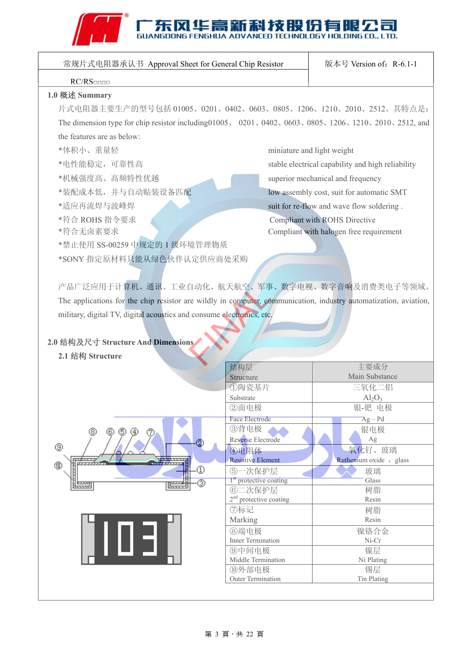# ANT SUANGDONG FENGHUA ADVANCED TECHNOLOGY HOLDING CO., LTD.

| 常规片式电阻器承认书 Approval Sheet for General Chip Resistor                                                              | 版本号 Version of: R-6.1-1                                                                                   |                                                   |  |  |  |  |  |  |
|------------------------------------------------------------------------------------------------------------------|-----------------------------------------------------------------------------------------------------------|---------------------------------------------------|--|--|--|--|--|--|
| RC/RS                                                                                                            |                                                                                                           |                                                   |  |  |  |  |  |  |
| 1.0 概述 Summary                                                                                                   |                                                                                                           |                                                   |  |  |  |  |  |  |
| 片式电阻器主要生产的型号包括 01005、0201、0402、0603、0805、1206、1210、2010、2512。其特点是:                                               |                                                                                                           |                                                   |  |  |  |  |  |  |
|                                                                                                                  | The dimension type for chip resistor including 01005, 0201, 0402, 0603, 0805, 1206, 1210, 2010, 2512, and |                                                   |  |  |  |  |  |  |
| the features are as below:                                                                                       |                                                                                                           |                                                   |  |  |  |  |  |  |
|                                                                                                                  |                                                                                                           |                                                   |  |  |  |  |  |  |
| *体积小、重量轻                                                                                                         |                                                                                                           | miniature and light weight                        |  |  |  |  |  |  |
| *电性能稳定,可靠性高                                                                                                      |                                                                                                           | stable electrical capability and high reliability |  |  |  |  |  |  |
| *机械强度高、高频特性优越                                                                                                    |                                                                                                           | superior mechanical and frequency                 |  |  |  |  |  |  |
| *装配成本低,并与自动贴装设备匹配                                                                                                |                                                                                                           | low assembly cost, suit for automatic SMT         |  |  |  |  |  |  |
| *适应再流焊与波峰焊                                                                                                       |                                                                                                           | suit for re-flow and wave flow soldering.         |  |  |  |  |  |  |
| *符合 ROHS 指令要求                                                                                                    |                                                                                                           | <b>Compliant with ROHS Directive</b>              |  |  |  |  |  |  |
| *符合无卤素要求                                                                                                         |                                                                                                           | Compliant with halogen free requirement           |  |  |  |  |  |  |
| *禁止使用 SS-00259 中规定的 1 级环境管理物质                                                                                    |                                                                                                           |                                                   |  |  |  |  |  |  |
| *SONY 指定原材料只能从绿色伙伴认定供应商处采购                                                                                       |                                                                                                           |                                                   |  |  |  |  |  |  |
|                                                                                                                  |                                                                                                           |                                                   |  |  |  |  |  |  |
| 产品广泛应用于计算机、通讯、工业自动化、航天航空、军事、数字电视、数字音响及消费类电子等领域。                                                                  |                                                                                                           |                                                   |  |  |  |  |  |  |
|                                                                                                                  |                                                                                                           |                                                   |  |  |  |  |  |  |
| The applications for the chip resistor are wildly in computer, communication, industry automatization, aviation, |                                                                                                           |                                                   |  |  |  |  |  |  |
| military, digital TV, digital acoustics and consume electronics, etc.                                            |                                                                                                           |                                                   |  |  |  |  |  |  |
|                                                                                                                  |                                                                                                           |                                                   |  |  |  |  |  |  |
| 2.0 结构及尺寸 Structure And Dimensions                                                                               |                                                                                                           |                                                   |  |  |  |  |  |  |
| 2.1 结构 Structure                                                                                                 |                                                                                                           |                                                   |  |  |  |  |  |  |
|                                                                                                                  | 结构层                                                                                                       | 主要成分                                              |  |  |  |  |  |  |
|                                                                                                                  | Structure                                                                                                 | Main Substance                                    |  |  |  |  |  |  |
|                                                                                                                  | ①陶瓷基片<br>Substrate                                                                                        | 三氧化二铝<br>$Al_2O_3$                                |  |  |  |  |  |  |
|                                                                                                                  | ②面电极                                                                                                      | 银-钯 电极                                            |  |  |  |  |  |  |
|                                                                                                                  | Face Electrode                                                                                            | $Ag - Pd$                                         |  |  |  |  |  |  |
| ⊚<br>(5)<br>(6)                                                                                                  | 3背电极                                                                                                      | 银电极                                               |  |  |  |  |  |  |
| ⊚                                                                                                                | Reverse Electrode                                                                                         | Ag                                                |  |  |  |  |  |  |
|                                                                                                                  | 4电阻体<br><b>Resistive Element</b>                                                                          | 氧化钌、玻璃<br>Ruthenium oxide, glass                  |  |  |  |  |  |  |
| ⅏<br>⊕                                                                                                           | 6)一次保护层                                                                                                   | 玻璃                                                |  |  |  |  |  |  |
| ⊚                                                                                                                | 1 <sup>st</sup> protective coating                                                                        | Glass                                             |  |  |  |  |  |  |
|                                                                                                                  | 6二次保护层                                                                                                    | 树脂                                                |  |  |  |  |  |  |
|                                                                                                                  | $2nd$ protective coating                                                                                  | Resin                                             |  |  |  |  |  |  |
|                                                                                                                  | ⑦标记<br>Marking                                                                                            | 树脂<br>Resin                                       |  |  |  |  |  |  |
|                                                                                                                  | 8端电极                                                                                                      | 镍铬合金                                              |  |  |  |  |  |  |
| ilo 31                                                                                                           | Inner Termination                                                                                         | $Ni-Cr$                                           |  |  |  |  |  |  |
|                                                                                                                  | ⑨中间电极                                                                                                     | 镍层                                                |  |  |  |  |  |  |
|                                                                                                                  | Middle Termination<br>⑩外部电极                                                                               | Ni Plating<br>锡层                                  |  |  |  |  |  |  |
|                                                                                                                  | Outer Termination                                                                                         | Tin Plating                                       |  |  |  |  |  |  |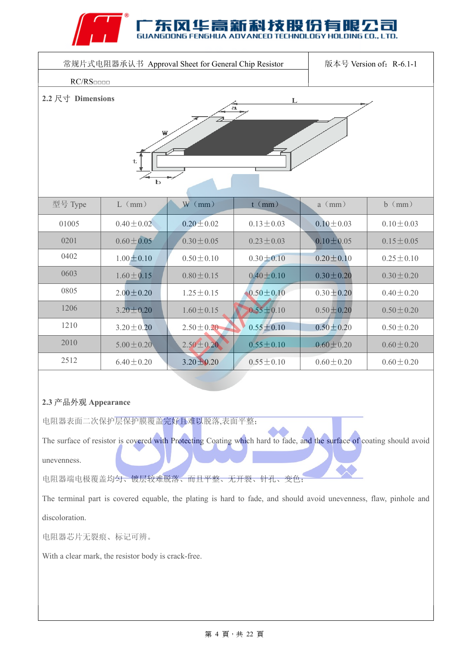### 华高新科技B

| 常规片式电阻器承认书 Approval Sheet for General Chip Resistor<br>版本号 Version of: R-6.1-1 |                 |                 |                 |                 |                 |  |  |  |
|--------------------------------------------------------------------------------|-----------------|-----------------|-----------------|-----------------|-----------------|--|--|--|
| RC/RS                                                                          |                 |                 |                 |                 |                 |  |  |  |
| 2.2 尺寸 Dimensions<br>L<br>a<br>W<br>t<br>$\mathbf b$                           |                 |                 |                 |                 |                 |  |  |  |
| 型号 Type                                                                        | $L$ (mm)        | $W$ (mm)        | $t$ (mm)        | $a \ (mm)$      | $b \ (mm)$      |  |  |  |
| 01005                                                                          | $0.40 \pm 0.02$ | $0.20 \pm 0.02$ | $0.13 \pm 0.03$ | $0.10 \pm 0.03$ | $0.10 \pm 0.03$ |  |  |  |
| 0201                                                                           | $0.60 \pm 0.05$ | $0.30 \pm 0.05$ | $0.23 \pm 0.03$ | $0.10 \pm 0.05$ | $0.15 \pm 0.05$ |  |  |  |
| 0402                                                                           | $1.00 \pm 0.10$ | $0.50 \pm 0.10$ | $0.30 \pm 0.10$ | $0.20 \pm 0.10$ | $0.25 \pm 0.10$ |  |  |  |
| 0603                                                                           | $1.60 \pm 0.15$ | $0.80 \pm 0.15$ | $0.40 \pm 0.10$ | $0.30 \pm 0.20$ | $0.30 \pm 0.20$ |  |  |  |
| 0805                                                                           | $2.00 \pm 0.20$ | $1.25 \pm 0.15$ | $0.50 \pm 0.10$ | $0.30 \pm 0.20$ | $0.40 \pm 0.20$ |  |  |  |
| 1206                                                                           | $3.20 \pm 0.20$ | $1.60 \pm 0.15$ | $0.55 \pm 0.10$ | $0.50 \pm 0.20$ | $0.50 \pm 0.20$ |  |  |  |
| 1210                                                                           | $3.20 \pm 0.20$ | $2.50 \pm 0.20$ | $0.55 \pm 0.10$ | $0.50 \pm 0.20$ | $0.50 \pm 0.20$ |  |  |  |
| 2010                                                                           | $5.00 \pm 0.20$ | $2.50 \pm 0.20$ | $0.55 \pm 0.10$ | $0.60 \pm 0.20$ | $0.60 \pm 0.20$ |  |  |  |
| 2512                                                                           | $6.40 \pm 0.20$ | $3.20 \pm 0.20$ | $0.55 \pm 0.10$ | $0.60 \pm 0.20$ | $0.60 \pm 0.20$ |  |  |  |

### **2.3** 产品外观 **Appearance**

电阻器表面二次保护层保护膜覆盖完好且难以脱落,表面平整;

The surface of resistor is covered with Protecting Coating which hard to fade, and the surface of coating should avoid

unevenness.

电阻器端电极覆盖均匀、镀层较难脱落、而且平整、无开裂、针孔、变色;

The terminal part is covered equable, the plating is hard to fade, and should avoid unevenness, flaw, pinhole and discoloration.

电阻器芯片无裂痕、标记可辨。

With a clear mark, the resistor body is crack-free.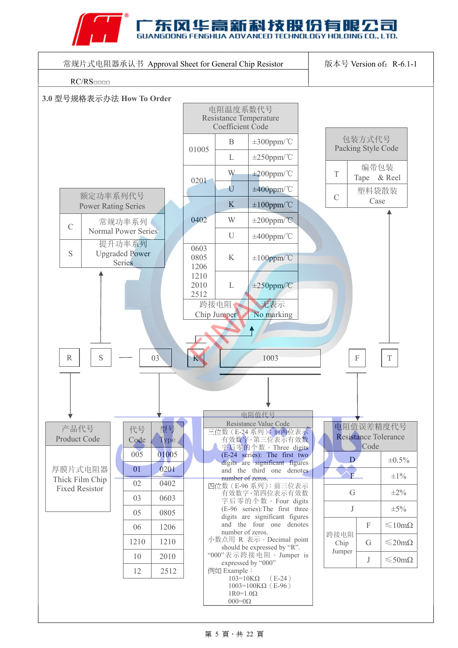



#### 第 5 頁, 共 22 頁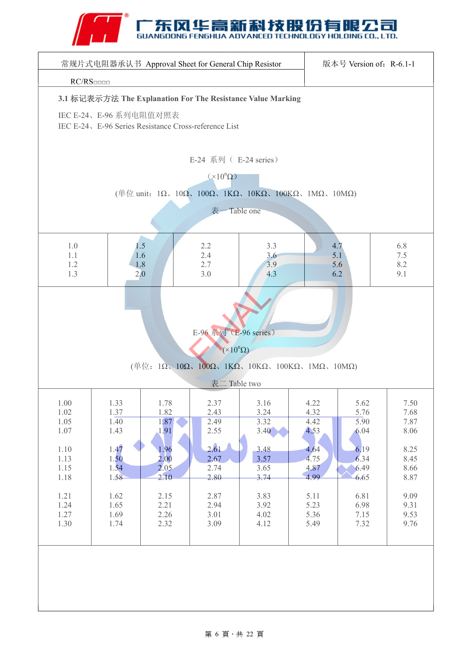### ENGHUA ADVANCED TECHNOLOGY HOLDING CO., LTD.

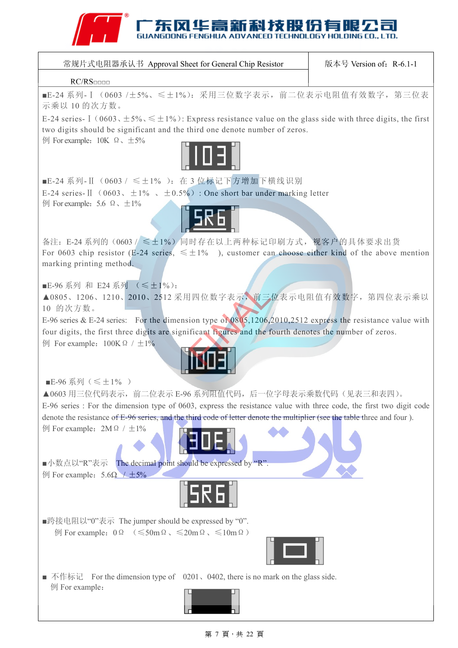### **ECHNOLOGY HOLDING CO., LTD.**

| 常规片式电阻器承认书 Approval Sheet for General Chip Resistor |
|-----------------------------------------------------|
|-----------------------------------------------------|

版本号 Version of: R-6.1-1

#### RC/RS□□□□

■E-24 系列- I (0603 /±5%、≤±1%): 采用三位数字表示, 前二位表示电阻值有效数字, 第三位表 示乘以 10 的次方数。

E-24 series-  $\left[ (0.603, \pm 5\%, \leq \pm 1\%)$ : Express resistance value on the glass side with three digits, the first two digits should be significant and the third one denote number of zeros.

 $\varnothing$  For example: 10K Ω、±5%



■E-24 系列-Ⅱ (0603 / ≤±1% ): 在 3 位标记下方增加下横线识别 E-24 series-II (0603、 $\pm 1\%$ ),  $\pm 0.5\%$ ): One short bar under marking letter  $\varnothing$  For example: 5.6 Ω,  $±1\%$ 



备注: E-24 系列的(0603 / ≤±1%) 同时存在以上两种标记印刷方式, 视客户的具体要求出货 For 0603 chip resistor (E-24 series,  $\leq \pm 1\%$ ), customer can choose either kind of the above mention marking printing method.

■E-96 系列 和 E24 系列 ( ≤±1%):

▲0805、1206、1210、2010、2512 采用四位数字表示,前三位表示电阻值有效数字,第四位表示乘以 10 的次方数。

E-96 series & E-24 series: For the dimension type of 0805,1206,2010,2512 express the resistance value with four digits, the first three digits are significant figures and the fourth denotes the number of zeros.  $\varnothing$  For example: 100KΩ / ±1% I四位数字表示, 前三<br>ion type of 0805,1206,<br>ificant figures and the f



■E-96 系列(≤±1%)

▲0603 用三位代码表示, 前二位表示 E-96 系列阻值代码, 后一位字母表示乘数代码(见表三和表四)。

E-96 series : For the dimension type of 0603, express the resistance value with three code, the first two digit code denote the resistance of E-96 series, and the third code of letter denote the multiplier (see the table three and four ).

 $\varnothing$  For example: 2MΩ /  $±1\%$ 

■小数点以"R"表示 The decimal point should be expressed by "R".  $\varnothing$  For example: 5.6Ω / ±5%



■跨接电阻以"0"表示 The jumper should be expressed by "0".  $\varnothing$  For example: 0Ω (≤50mΩ、≤20mΩ、≤10mΩ)

■ 不作标记 For the dimension type of 0201, 0402, there is no mark on the glass side. 例 For example:

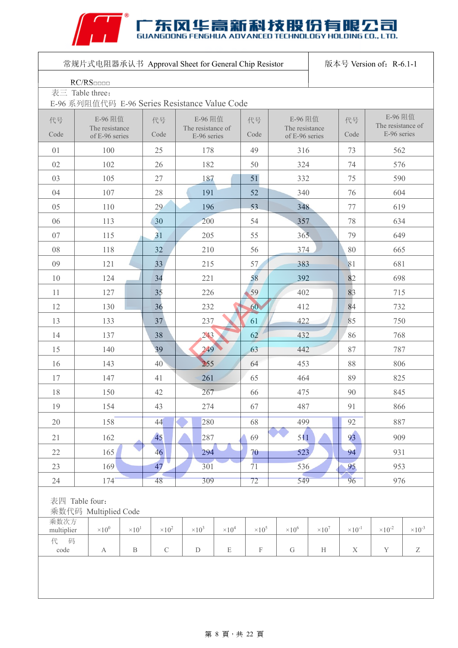# ANTENSIONS FENGHUA ADVANCED TECHNOLOGY HOLDING CO., LTD.

|                    | 常规片式电阻器承认书 Approval Sheet for General Chip Resistor<br>版本号 Version of: R-6.1-1 |                 |               |                                  |               |               |                                  |               |                  |                              |                           |
|--------------------|--------------------------------------------------------------------------------|-----------------|---------------|----------------------------------|---------------|---------------|----------------------------------|---------------|------------------|------------------------------|---------------------------|
|                    | RC/RS                                                                          |                 |               |                                  |               |               |                                  |               |                  |                              |                           |
|                    | 表三 Table three:                                                                |                 |               |                                  |               |               |                                  |               |                  |                              |                           |
|                    | E-96 系列阻值代码 E-96 Series Resistance Value Code                                  |                 |               |                                  |               |               |                                  |               |                  |                              |                           |
| 代号                 | E-96 阻值                                                                        |                 | 代号            | E-96 阻值                          |               | 代号            | E-96 阻值                          |               | 代号               | E-96 阻值<br>The resistance of |                           |
| Code               | The resistance<br>of E-96 series                                               |                 | Code          | The resistance of<br>E-96 series |               | Code          | The resistance<br>of E-96 series |               | Code             | E-96 series                  |                           |
| 01                 | 100                                                                            |                 | 25            | 178                              |               | 49            | 316                              |               | 73               | 562                          |                           |
| 02                 | 102                                                                            |                 | 26            | 182                              |               | 50            | 324                              |               | 74               | 576                          |                           |
| 03                 | 105                                                                            |                 | 27            | 187                              |               | 51            | 332                              |               | 75               | 590                          |                           |
| 04                 | 107                                                                            |                 | 28            | 191                              |               | 52            | 340                              |               | 76               | 604                          |                           |
| 05                 | 110                                                                            |                 | 29            | 196                              |               | 53            | 348                              |               | 77               | 619                          |                           |
| 06                 | 113                                                                            |                 | 30            | 200                              |               | 54            | 357                              |               | 78               | 634                          |                           |
| 07                 | 115                                                                            |                 | 31            | 205                              |               | 55            | 365                              |               | 79               | 649                          |                           |
| 08                 | 118                                                                            |                 | 32            | 210                              |               | 56            | 374                              |               | 80               | 665                          |                           |
| 09                 | 121                                                                            |                 | 33            | 215                              |               | 57            | 383                              |               | 81               | 681                          |                           |
| 10                 | 124                                                                            |                 | 34            | 221                              |               | 58            | 392                              |               | 82               | 698                          |                           |
| 11                 | 127                                                                            |                 | 35            | 226                              |               | 59            | 402                              |               | 83               | 715                          |                           |
| 12                 | 130                                                                            |                 | 36            | 232                              |               | 60            | 412                              |               | 84               | 732                          |                           |
| 13                 | 133                                                                            |                 | 37            | 237                              |               | 61            | 422                              |               | 85               | 750                          |                           |
| 14                 | 137                                                                            |                 | 38            | 243                              |               | 62            | 432                              |               | 86               | 768                          |                           |
| 15                 | 140                                                                            |                 | 39            | 249                              |               | 63            | 442                              |               | 87               | 787                          |                           |
| 16                 | 143                                                                            |                 | 40            | 255                              |               | 64            | 453                              |               | 88               | 806                          |                           |
| 17                 | 147                                                                            |                 | 41            | 261                              |               | 65            | 464                              |               | 89               | 825                          |                           |
| 18                 | 150                                                                            |                 | 42            | 267                              |               | 66            | 475                              |               | $90\,$           | 845                          |                           |
| 19                 | 154                                                                            |                 | 43            | 274                              |               | 67            | 487                              |               | 91               | 866                          |                           |
| 20                 | 158                                                                            |                 | 44            | 280                              |               | 68            | 499                              |               | 92               | 887                          |                           |
| 21                 | 162                                                                            |                 | 45            | 287                              |               | 69            | 511                              |               | 93               | 909                          |                           |
| 22                 | 165                                                                            |                 | 46            | 294                              |               | 70            | 523                              |               | 94               | 931                          |                           |
| 23                 | 169                                                                            |                 | 47            | 301                              |               | 71            | 536                              |               | 95               | 953                          |                           |
| 24                 | 174                                                                            |                 | 48            | 309                              |               | 72            | 549                              |               | 96               | 976                          |                           |
|                    | 表四 Table four:<br>乘数代码 Multiplied Code                                         |                 |               |                                  |               |               |                                  |               |                  |                              |                           |
| 乘数次方<br>multiplier | $\times 10^{0}$                                                                | $\times 10^{1}$ | $\times 10^2$ | $\times 10^3$                    | $\times 10^4$ | $\times 10^5$ | $\times 10^6$                    | $\times 10^7$ | $\times 10^{-1}$ | $\times 10^{-2}$             | $\times 10^{-3}$          |
| 代 码                |                                                                                |                 |               |                                  |               |               |                                  |               |                  |                              |                           |
| code               | $\mathbf{A}$                                                                   | $\, {\bf B}$    | $\mathbf C$   | ${\mathcal{D}}$                  | $\mathbf E$   | $\mathbf F$   | ${\rm G}$                        | H             | $\mathbf X$      | $\mathbf Y$                  | $\ensuremath{\mathbf{Z}}$ |
|                    |                                                                                |                 |               |                                  |               |               |                                  |               |                  |                              |                           |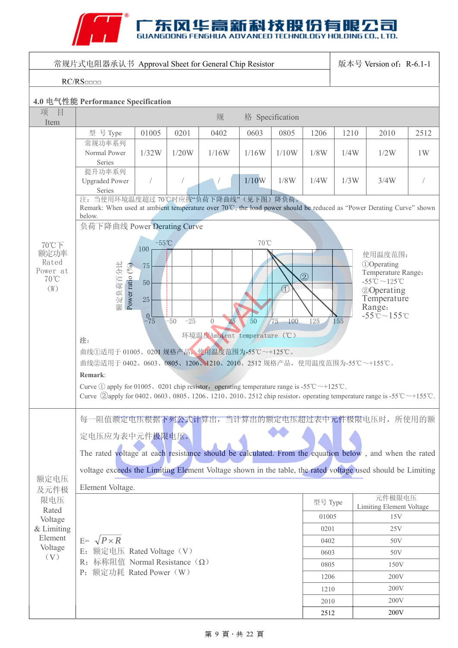# ANTENSIONS FENGHUA ADVANCED TECHNOLOGY HOLDING CO., LTD.

| 常规片式电阻器承认书 Approval Sheet for General Chip Resistor |                                                                                                                                                                                                                                                                                                                                                                                                            |                                                             |                |                                                     |            |                                          |                      |      | 版本号 Version of: R-6.1-1                                                                                                                                                                     |      |
|-----------------------------------------------------|------------------------------------------------------------------------------------------------------------------------------------------------------------------------------------------------------------------------------------------------------------------------------------------------------------------------------------------------------------------------------------------------------------|-------------------------------------------------------------|----------------|-----------------------------------------------------|------------|------------------------------------------|----------------------|------|---------------------------------------------------------------------------------------------------------------------------------------------------------------------------------------------|------|
| RC/RS                                               |                                                                                                                                                                                                                                                                                                                                                                                                            |                                                             |                |                                                     |            |                                          |                      |      |                                                                                                                                                                                             |      |
| 4.0 电气性能 Performance Specification                  |                                                                                                                                                                                                                                                                                                                                                                                                            |                                                             |                |                                                     |            |                                          |                      |      |                                                                                                                                                                                             |      |
| 项<br>目<br>Item                                      | 格 Specification<br>规                                                                                                                                                                                                                                                                                                                                                                                       |                                                             |                |                                                     |            |                                          |                      |      |                                                                                                                                                                                             |      |
|                                                     | 型 号 Type                                                                                                                                                                                                                                                                                                                                                                                                   | 01005                                                       | 0201           | 0402                                                | 0603       | 0805                                     | 1206                 | 1210 | 2010                                                                                                                                                                                        | 2512 |
|                                                     | 常规功率系列<br>Normal Power<br>Series                                                                                                                                                                                                                                                                                                                                                                           | 1/32W                                                       | 1/20W          | 1/16W                                               | 1/16W      | 1/10W                                    | 1/8W                 | 1/4W | 1/2W                                                                                                                                                                                        | 1W   |
|                                                     | 提升功率系列<br><b>Upgraded Power</b><br>Series                                                                                                                                                                                                                                                                                                                                                                  | $\bigg)$                                                    |                |                                                     | 1/10W      | 1/8W                                     | 1/4W                 | 1/3W | 3/4W                                                                                                                                                                                        |      |
|                                                     | 注: 当使用环境温度超过70℃时应按"负荷下降曲线"(见下图)降负荷。<br>Remark: When used at ambient temperature over 70℃, the load power should be reduced as "Power Derating Curve" shown<br>below.                                                                                                                                                                                                                                       |                                                             |                |                                                     |            |                                          |                      |      |                                                                                                                                                                                             |      |
|                                                     | 负荷下降曲线 Power Derating Curve                                                                                                                                                                                                                                                                                                                                                                                |                                                             |                |                                                     |            |                                          |                      |      |                                                                                                                                                                                             |      |
| 70℃下<br>额定功率<br>Rated<br>Power at<br>70°C<br>(W)    | 额定负荷百分比<br>Power ratio $(^{9}_{0})$<br>注:<br>曲线①适用于 01005、0201 规格产品,使用温度范围为-55℃~+125℃。<br>曲线②适用于 0402、0603、0805、1206、1210、2010、2512 规格产品, 使用温度范围为-55℃~+155℃。<br>Remark:<br>Curve ① apply for 01005、0201 chip resistor, operating temperature range is -55 °C ~ +125 °C.<br>Curve $\oslash$ apply for 0402, 0603, 0805, 1206, 1210, 2010, 2512 chip resistor, operating temperature range is -55°C ~+155°C. | $-55^{\circ}$ C<br>100<br>75<br>50<br>25<br>$^{0}$ $^{-75}$ | $-50$<br>$-25$ | 25<br>$\overline{0}$<br>环境温度Ambient temperature (℃) | 70°C<br>50 | $\left( \widehat{1}\right)$<br>75<br>100 | $\circled{2}$<br>125 | 155  | 使用温度范围:<br><b><i><u>O</u></i></b> Operating<br>Temperature Range:<br>-55°C $\sim$ 125°C<br><b>20perating</b><br>Temperature<br>Range:<br>$-55^{\circ}\mathrm{C} \sim 155^{\circ}\mathrm{C}$ |      |
| 额定电压<br>及元件极                                        | 每一阻值额定电压根据下列公式计算出, 当计算出的额定电压超过表中元件极限电压时, 所使用的额<br>定电压应为表中元件极限电压。<br>The rated voltage at each resistance should be calculated. From the equation below, and when the rated<br>voltage exceeds the Limiting Element Voltage shown in the table, the rated voltage used should be Limiting<br>Element Voltage.                                                                                               |                                                             |                |                                                     |            |                                          |                      |      |                                                                                                                                                                                             |      |
| 限电压                                                 |                                                                                                                                                                                                                                                                                                                                                                                                            |                                                             |                |                                                     |            |                                          | 型号 Type              |      | 元件极限电压<br>Limiting Element Voltage                                                                                                                                                          |      |
| Rated<br>Voltage                                    |                                                                                                                                                                                                                                                                                                                                                                                                            |                                                             |                |                                                     |            |                                          | 01005                |      | 15V                                                                                                                                                                                         |      |
| & Limiting                                          |                                                                                                                                                                                                                                                                                                                                                                                                            |                                                             |                |                                                     |            |                                          | 0201                 |      | 25V                                                                                                                                                                                         |      |
| Element                                             | $E = \sqrt{P \times R}$                                                                                                                                                                                                                                                                                                                                                                                    |                                                             |                |                                                     |            |                                          | 0402                 |      | 50V                                                                                                                                                                                         |      |
| Voltage<br>(V)                                      | E: 额定电压 Rated Voltage (V)                                                                                                                                                                                                                                                                                                                                                                                  |                                                             |                |                                                     |            |                                          | 0603                 |      | 50V                                                                                                                                                                                         |      |
|                                                     | 标称阻值 Normal Resistance $(\Omega)$<br>R:<br>额定功耗 Rated Power (W)<br>$P$ :                                                                                                                                                                                                                                                                                                                                   |                                                             |                |                                                     |            |                                          | 0805                 |      | 150V                                                                                                                                                                                        |      |
|                                                     |                                                                                                                                                                                                                                                                                                                                                                                                            |                                                             |                |                                                     |            |                                          | 1206                 |      | 200V                                                                                                                                                                                        |      |
|                                                     |                                                                                                                                                                                                                                                                                                                                                                                                            |                                                             |                |                                                     |            |                                          | 1210                 |      | 200V                                                                                                                                                                                        |      |
|                                                     |                                                                                                                                                                                                                                                                                                                                                                                                            |                                                             |                |                                                     |            |                                          | 2010                 |      | 200V<br>200V                                                                                                                                                                                |      |
|                                                     |                                                                                                                                                                                                                                                                                                                                                                                                            |                                                             |                |                                                     |            |                                          | 2512                 |      |                                                                                                                                                                                             |      |

#### 第 9 頁,共 22 頁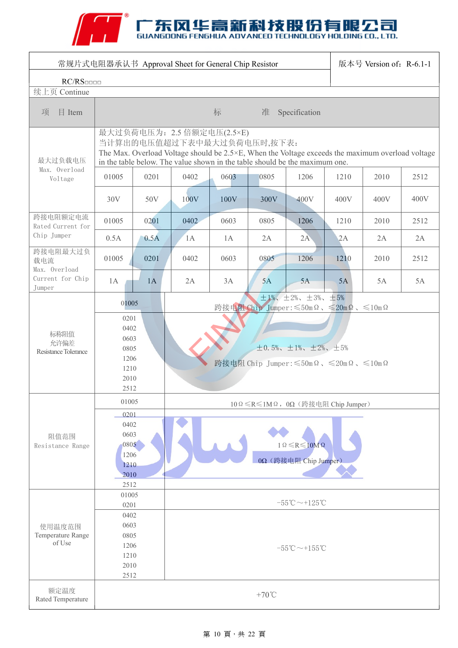# ANTENSIONS FENGHUA ADVANCED TECHNOLOGY HOLDING CO., LTD.

| 常规片式电阻器承认书 Approval Sheet for General Chip Resistor<br>版本号 Version of: R-6.1-1            |                                                                                                                                                                                                                                                       |      |                                                                                        |                                   |                 |                                               |      |      |      |  |
|-------------------------------------------------------------------------------------------|-------------------------------------------------------------------------------------------------------------------------------------------------------------------------------------------------------------------------------------------------------|------|----------------------------------------------------------------------------------------|-----------------------------------|-----------------|-----------------------------------------------|------|------|------|--|
| RC/RS                                                                                     |                                                                                                                                                                                                                                                       |      |                                                                                        |                                   |                 |                                               |      |      |      |  |
| 续上页 Continue                                                                              |                                                                                                                                                                                                                                                       |      |                                                                                        |                                   |                 |                                               |      |      |      |  |
| $E$ Item<br>项                                                                             |                                                                                                                                                                                                                                                       |      |                                                                                        | 标                                 |                 | 准 Specification                               |      |      |      |  |
| 最大过负载电压                                                                                   | 最大过负荷电压为: 2.5 倍额定电压(2.5×E)<br>当计算出的电压值超过下表中最大过负荷电压时,按下表:<br>The Max. Overload Voltage should be $2.5 \times E$ , When the Voltage exceeds the maximum overload voltage<br>in the table below. The value shown in the table should be the maximum one. |      |                                                                                        |                                   |                 |                                               |      |      |      |  |
| Max. Overload<br>Voltage                                                                  | 01005                                                                                                                                                                                                                                                 | 0201 | 0402                                                                                   | 0603                              | 0805            | 1206                                          | 1210 | 2010 | 2512 |  |
|                                                                                           | 30V                                                                                                                                                                                                                                                   | 50V  | 100V                                                                                   | 100V                              | 300V            | 400V                                          | 400V | 400V | 400V |  |
| 跨接电阻额定电流<br>Rated Current for                                                             | 01005                                                                                                                                                                                                                                                 | 0201 | 0402                                                                                   | 0603                              | 0805            | 1206                                          | 1210 | 2010 | 2512 |  |
| Chip Jumper                                                                               | 0.5A                                                                                                                                                                                                                                                  | 0.5A | 1A                                                                                     | 1A                                | 2A              | 2A                                            | 2A   | 2A   | 2A   |  |
| 跨接电阻最大过负<br>载电流<br>Max. Overload                                                          | 01005                                                                                                                                                                                                                                                 | 0201 | 0402                                                                                   | 0603                              | 0805            | 1206                                          | 1210 | 2010 | 2512 |  |
| Current for Chip<br>Jumper                                                                | 1A                                                                                                                                                                                                                                                    | 1A   | 2A                                                                                     | 3A                                | 5A              | 5A                                            | 5A   | 5A   | 5A   |  |
|                                                                                           | $\pm 1\%$ , $\pm 2\%$ , $\pm 3\%$ , $\pm 5\%$<br>01005<br>跨接电阻 Chip Jumper: <50m Ω、 <20m Ω、 <10m Ω                                                                                                                                                    |      |                                                                                        |                                   |                 |                                               |      |      |      |  |
| 标称阻值<br>允许偏差<br>Resistance Tolerance                                                      | 0201<br>0402<br>0603<br>0805<br>1206<br>1210<br>2010<br>2512                                                                                                                                                                                          |      | $\pm 0.5\%$ , $\pm 1\%$ , $\pm 2\%$ , $\pm 5\%$<br>跨接电阻 Chip Jumper: ≤50mΩ、≤20mΩ、≤10mΩ |                                   |                 |                                               |      |      |      |  |
|                                                                                           |                                                                                                                                                                                                                                                       |      |                                                                                        | 10Ω ≤R≤1MΩ, 0Ω (跨接电阻 Chip Jumper) |                 |                                               |      |      |      |  |
| 01005<br>0201<br>0402<br>0603<br>阻值范围<br>0805<br>Resistance Range<br>1206<br>1210<br>2010 |                                                                                                                                                                                                                                                       |      | $1 \Omega \le R \le 10 M \Omega$<br>0Ω (跨接电阻 Chip Jumper)                              |                                   |                 |                                               |      |      |      |  |
|                                                                                           | 2512<br>01005                                                                                                                                                                                                                                         |      |                                                                                        |                                   |                 |                                               |      |      |      |  |
|                                                                                           | 0201<br>0402                                                                                                                                                                                                                                          |      |                                                                                        |                                   |                 | $-55^{\circ}\text{C}\sim+125^{\circ}\text{C}$ |      |      |      |  |
| 使用温度范围<br>Temperature Range<br>of Use                                                     | 0603<br>0805<br>1206<br>1210<br>2010<br>2512                                                                                                                                                                                                          |      | $-55^{\circ}\text{C}\sim+155^{\circ}\text{C}$                                          |                                   |                 |                                               |      |      |      |  |
| 额定温度<br>Rated Temperature                                                                 |                                                                                                                                                                                                                                                       |      |                                                                                        |                                   | $+70^{\circ}$ C |                                               |      |      |      |  |

#### 第 10 頁, 共 22 頁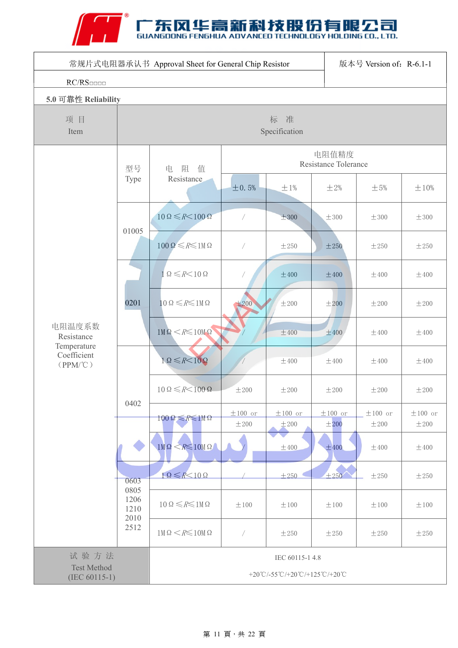# A THE SUANGDONG FENGHUA ADVANCED TECHNOLOGY HOLDING CO., LTD.

| 常规片式电阻器承认书 Approval Sheet for General Chip Resistor<br>版本号 Version of: R-6.1-1 |                      |                                                   |                               |                      |                      |                           |                      |  |  |
|--------------------------------------------------------------------------------|----------------------|---------------------------------------------------|-------------------------------|----------------------|----------------------|---------------------------|----------------------|--|--|
| RC/RS                                                                          |                      |                                                   |                               |                      |                      |                           |                      |  |  |
|                                                                                | 5.0 可靠性 Reliability  |                                                   |                               |                      |                      |                           |                      |  |  |
| 项目<br>Item                                                                     |                      | 标 准<br>Specification                              |                               |                      |                      |                           |                      |  |  |
|                                                                                | 型号                   | 阻<br>值<br>电                                       | 电阻值精度<br>Resistance Tolerance |                      |                      |                           |                      |  |  |
|                                                                                | Type                 | Resistance                                        | ±0.5%                         | ±1%                  | ±2%                  | $\pm$ 5%                  | $\pm 10\%$           |  |  |
|                                                                                |                      | $10\Omega \leq R \leq 100\Omega$                  | $\sqrt{2}$                    | ±300                 | ±300                 | $\pm 300$                 | $\pm 300$            |  |  |
|                                                                                | 01005                | $100\Omega \le R \le 1M\Omega$                    | $\sqrt{2}$                    | ±250                 | ±250                 | ±250                      | ±250                 |  |  |
|                                                                                | 0201                 | $1\Omega \leq R \leq 10\Omega$                    |                               | ±400                 | ±400                 | $\pm 400$                 | ±400                 |  |  |
|                                                                                |                      | $10\Omega \le R \le 1M\Omega$                     | $\pm 200$                     | ±200                 | ±200                 | ±200                      | ±200                 |  |  |
| 电阻温度系数<br>Resistance<br>Temperature                                            |                      | $1M\Omega \le R \le 10M\Omega$                    |                               | ±400                 | ±400                 | $\pm 400$                 | $\pm 400$            |  |  |
| Coefficient<br>$(PPM/\mathcal{C})$                                             | 0402                 | $1 \Omega \le R < 10 \Omega$                      |                               | $\pm 400$            | $\pm 400$            | $\pm 400$                 | $\pm 400$            |  |  |
|                                                                                |                      | $10\Omega \leq R \leq 100\Omega$                  | ±200                          | ±200                 | ±200                 | ±200                      | ±200                 |  |  |
|                                                                                |                      | $100\Omega \leq R \leq 1 \text{M}\Omega$          | $\pm 100$ or<br>±200          | $\pm 100$ or<br>±200 | $\pm 100$ or<br>±200 | $\pm 100$ or<br>$\pm 200$ | $\pm 100$ or<br>±200 |  |  |
|                                                                                |                      | $1$ M $\Omega$ < $R \le 10$ M $\Omega$            |                               | ±400                 | ±400                 | $\pm 400$                 | ±400                 |  |  |
|                                                                                | 0603<br>0805         | $1 \Omega \leq R \leq 10 \Omega$                  |                               | ±250                 | ±250                 | ±250                      | ±250                 |  |  |
|                                                                                | 1206<br>1210<br>2010 | $10\Omega \le R \le 1M\Omega$                     | ±100                          | $\pm 100$            | ±100                 | $\pm 100$                 | $\pm\,100$           |  |  |
|                                                                                | 2512                 | $1M\Omega \le R \le 10M\Omega$                    | T,                            | ±250                 | ±250                 | ±250                      | ±250                 |  |  |
| 试验方法<br><b>Test Method</b><br>$(IEC 60115-1)$                                  |                      | IEC 60115-1 4.8<br>+20°C/-55°C/+20°C/+125°C/+20°C |                               |                      |                      |                           |                      |  |  |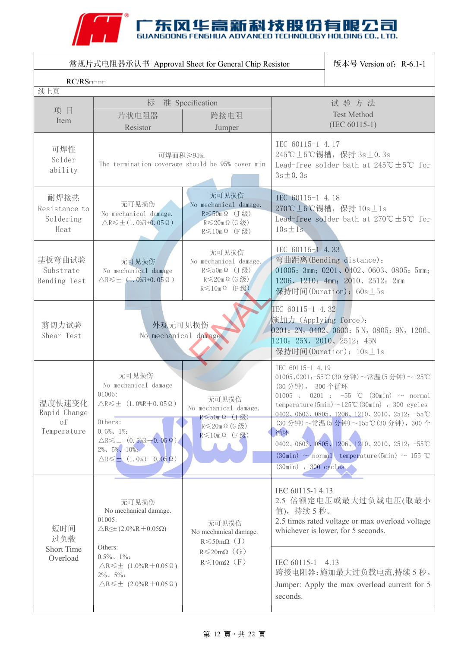# A THE SUANGDONG FENGHUA ADVANCED TECHNOLOGY HOLDING CO., LTD.

|                                             | 常规片式电阻器承认书 Approval Sheet for General Chip Resistor                                                                                                                                                                                          | 版本号 Version of: R-6.1-1                                                                                             |                                                                                                                                                                                                                                                                                                                                                                                                                                                        |  |  |
|---------------------------------------------|----------------------------------------------------------------------------------------------------------------------------------------------------------------------------------------------------------------------------------------------|---------------------------------------------------------------------------------------------------------------------|--------------------------------------------------------------------------------------------------------------------------------------------------------------------------------------------------------------------------------------------------------------------------------------------------------------------------------------------------------------------------------------------------------------------------------------------------------|--|--|
| RC/RS<br>续上页                                |                                                                                                                                                                                                                                              |                                                                                                                     |                                                                                                                                                                                                                                                                                                                                                                                                                                                        |  |  |
| 项目                                          | 标                                                                                                                                                                                                                                            | 准 Specification                                                                                                     | 试验方法                                                                                                                                                                                                                                                                                                                                                                                                                                                   |  |  |
| Item                                        | 片状电阻器<br>Resistor                                                                                                                                                                                                                            | 跨接电阻<br>Jumper                                                                                                      | <b>Test Method</b><br>$(IEC 60115-1)$                                                                                                                                                                                                                                                                                                                                                                                                                  |  |  |
| 可焊性<br>Solder<br>ability                    | 可焊面积≥95%.                                                                                                                                                                                                                                    | The termination coverage should be 95% cover min                                                                    | IEC 60115-1 4.17<br>245℃±5℃锡槽, 保持 3s±0.3s<br>Lead-free solder bath at $245^{\circ}\text{C} \pm 5^{\circ}\text{C}$ for<br>$3s \pm 0.3s$                                                                                                                                                                                                                                                                                                                 |  |  |
| 耐焊接热<br>Resistance to<br>Soldering<br>Heat  | 无可见损伤<br>No mechanical damage.<br>$\triangle$ R $\leq$ $\pm$ (1.0%R+0.05 $\Omega$ )                                                                                                                                                          | 无可见损伤<br>No mechanical damage.<br>$R \leqslant 50$ m Ω (J级)<br>$R \leq 20$ m $\Omega$ (G 级)<br>$R \leq 10$ m Ω (F级) | IEC 60115-1 4.18<br>270℃±5℃锡槽, 保持 10s±1s<br>Lead-free solder bath at $270^{\circ}\text{C} \pm 5^{\circ}\text{C}$ for<br>$10s \pm 1s$                                                                                                                                                                                                                                                                                                                   |  |  |
| 基板弯曲试验<br>Substrate<br>Bending Test         | 无可见损伤<br>No mechanical damage<br>$\triangle$ R $\leq$ $\pm$ (1.0%R+0.05 $\Omega$ )                                                                                                                                                           | 无可见损伤<br>No mechanical damage.<br>R≤50mΩ (J级)<br>$R \leq 20$ m $\Omega$ (G 级)<br>$R \leq 10$ m $\Omega$ (F 级)       | IEC 60115-1 4.33<br>弯曲距离(Bending distance):<br>01005: 3mm; 0201, 0402, 0603, 0805: 5mm;<br>1206, 1210: 4mm; 2010, 2512: 2mm<br>保持时间(Duration): 60s±5s                                                                                                                                                                                                                                                                                                  |  |  |
| 剪切力试验<br>Shear Test                         | 外观无可见损伤                                                                                                                                                                                                                                      | No mechanical damage                                                                                                | IEC 60115-1 4.32<br>施加力 (Applying force):<br>0201: 2N, 0402, 0603: 5N, 0805: 9N, 1206,<br>1210: 25N, 2010, 2512: 45N<br>保持时间(Duration): 10s±1s                                                                                                                                                                                                                                                                                                         |  |  |
| 温度快速变化<br>Rapid Change<br>of<br>Temperature | 无可见损伤<br>No mechanical damage<br>01005:<br>$\triangle R \leq \pm$ (1.0%R + 0.05 Ω)<br>Others:<br>$0.5\%$ , 1%:<br>$\triangle R \leq \pm (0.5\%R + 0.05 \Omega)$<br>$2\%$ , $5\%$ , $10\%$ .<br>$\triangle R \leq \pm (1.0\%R + 0.05 \Omega)$ | 无可见损伤<br>No mechanical damage.<br>$R \leqslant 50$ m $\Omega$ (J 级)<br>$R$ ≤20mΩ (G级)<br>$R \leqslant 10$ m Ω (F级)  | IEC 60115-1 4.19<br>01005、0201:-55℃ (30分钟)~常温(5分钟)~125℃<br>(30分钟), 300个循环<br>01005, 0201: $-55$ °C (30min) $\sim$ normal<br>temperature $(5\text{min}) \sim 125 \text{°C}$ $(30\text{min})$ , 300 cycles<br>0402、0603、0805、1206、1210、2010、2512: -55°C<br>(30分钟)~常温(5分钟)~155℃(30分钟), 300个<br>循环<br>0402、0603、0805、1206、1210、2010、2512: -55°C<br>$(30\text{min}) \sim \text{normal}$ temperature (5min) $\sim 155$ °C<br>$(30\text{min})$ , $300$ cycles |  |  |
| 短时间<br>过负载<br><b>Short Time</b><br>Overload | 无可见损伤<br>No mechanical damage.<br>01005:<br>$\triangle$ R $\leq \pm$ (2.0%R + 0.05 $\Omega$ )                                                                                                                                                | 无可见损伤<br>No mechanical damage.<br>$R \leqslant 50 \text{m}\Omega$ (J)                                               | IEC 60115-1 4.13<br>2.5 倍额定电压或最大过负载电压(取最小<br>值),持续5秒。<br>2.5 times rated voltage or max overload voltage<br>whichever is lower, for 5 seconds.                                                                                                                                                                                                                                                                                                         |  |  |
|                                             | Others:<br>$0.5\%$ , 1%:<br>$\triangle$ R $\leq$ $\pm$ (1.0%R + 0.05 $\Omega$ )<br>$2\%$ , $5\%$ :<br>$\triangle$ R $\leq$ $\pm$ (2.0%R+0.05 $\Omega$ )                                                                                      | $R \leq 20m\Omega$ (G)<br>$R \leq 10 \text{m}\Omega$ (F)                                                            | IEC 60115-1 4.13<br>跨接电阻器:施加最大过负载电流,持续5秒。<br>Jumper: Apply the max overload current for 5<br>seconds.                                                                                                                                                                                                                                                                                                                                                  |  |  |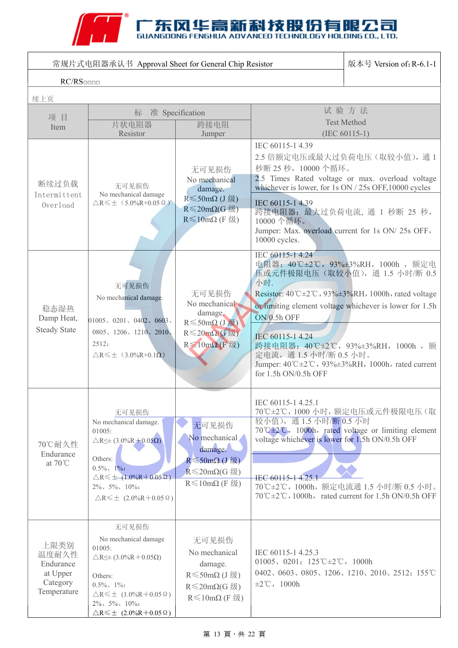

| 常规片式电阻器承认书 Approval Sheet for General Chip Resistor               | 版本号 Version of: R-6.1-1                                                                                                                                                                                                                                     |                                                                                                                                                              |                                                                                                                                                                                                                                        |                                                                                                                                                                                                                                                                                                                                                |  |
|-------------------------------------------------------------------|-------------------------------------------------------------------------------------------------------------------------------------------------------------------------------------------------------------------------------------------------------------|--------------------------------------------------------------------------------------------------------------------------------------------------------------|----------------------------------------------------------------------------------------------------------------------------------------------------------------------------------------------------------------------------------------|------------------------------------------------------------------------------------------------------------------------------------------------------------------------------------------------------------------------------------------------------------------------------------------------------------------------------------------------|--|
| RC/RS                                                             |                                                                                                                                                                                                                                                             |                                                                                                                                                              |                                                                                                                                                                                                                                        |                                                                                                                                                                                                                                                                                                                                                |  |
| 续上页                                                               |                                                                                                                                                                                                                                                             |                                                                                                                                                              |                                                                                                                                                                                                                                        |                                                                                                                                                                                                                                                                                                                                                |  |
| 项目<br>Item                                                        | 标<br>片状电阻器<br>Resistor                                                                                                                                                                                                                                      | 准 Specification<br>跨接电阻<br>Jumper                                                                                                                            | 试验方法<br><b>Test Method</b><br>$(IEC 60115-1)$                                                                                                                                                                                          |                                                                                                                                                                                                                                                                                                                                                |  |
| 断续过负载<br>Intermittent<br>Overload                                 | 无可见损伤<br>No mechanical damage<br>$\triangle$ R $\leq$ $\pm$ (5.0%R+0.05 $\Omega$ )                                                                                                                                                                          | 无可见损伤<br>No mechanical<br>damage.<br>$R$ ≤ 50mΩ (J 级)<br>$R \leq 20 \text{m}\Omega(G \text{ }\mathfrak{B})$<br>$R \leq 10 \text{m}\Omega$ (F $\mathcal{K}$ ) | IEC 60115-1 4.39<br>秒断 25 秒, 10000 个循环。<br>whichever is lower, for 1s ON / 25s OFF, 10000 cycles<br>IEC 60115-1 4.39<br>跨接电阻器: 最大过负荷电流, 通 1 秒断 25 秒,<br>10000个循环。<br>Jumper: Max. overload current for 1s ON/25s OFF,<br>10000 cycles. | 2.5 倍额定电压或最大过负荷电压(取较小值), 通1<br>2.5 Times Rated voltage or max. overload voltage                                                                                                                                                                                                                                                                |  |
| 稳态湿热<br>Damp Heat,<br><b>Steady State</b>                         | 无可见损伤<br>No mechanical damage.<br>01005, 0201, 0402, 0603<br>0805、1206、1210、2010、<br>2512:<br>$\triangle$ R $\leq$ $\pm$ (3.0%R+0.1 $\Omega$ )                                                                                                              | 无可见损伤<br>No mechanical<br>damage.<br>$R \leqslant$ 50mΩ (J级)<br>$R \leq 20$ mΩ(G级)<br>$R \leqslant 10$ mΩ (F级)                                               | IEC 60115-1 4.24<br>小时.<br>ON/0.5h OFF<br>IEC 60115-1 4.24<br>定电流, 通1.5 小时/断0.5 小时。<br>for 1.5h ON/0.5h OFF                                                                                                                            | 电阻器: 40℃±2℃, 93%±3%RH, 1000h, 额定电<br>压或元件极限电压(取较小值),通 1.5 小时/断 0.5<br>Resistor: $40^{\circ}$ C $\pm$ 2 $^{\circ}$ C, 93% $\pm$ 3%RH, 1000h, rated voltage<br>or limiting element voltage whichever is lower for 1.5h<br>跨接电阻器: 40℃±2℃, 93%±3%RH, 1000h, 额<br>Jumper: $40^{\circ}$ C $\pm 2^{\circ}$ C, $93\% \pm 3\%$ RH, 1000h, rated current |  |
| 70℃耐久性<br>Endurance<br>at $70^{\circ}$ C                          | 无可见损伤<br>No mechanical damage.<br>01005:<br>$\triangle$ R $\leq \pm$ (3.0%R + 0.05 $\Omega$ )<br>Others:<br>$0.5\%$ , 1%:<br>$\triangle R \leq \pm (1.0\%R + 0.05 \Omega)$<br>$2\%$ , $5\%$ , $10\%$ :<br>$\triangle$ R $\leq$ $\pm$ (2.0%R+0.05 $\Omega$ ) | 无可见损伤<br>No mechanical<br>damage.<br>$R \leqslant 50 \text{m}\Omega$ (J 级)<br>$R \leq 20$ mΩ(G级)<br>$R \leq 10 \text{m}\Omega$ (F 级)                         | IEC 60115-1 4.25.1<br>较小值), 通1.5 小时/断0.5 小时<br>voltage whichever is lower for 1.5h ON/0.5h OFF<br>IEC 60115-1 4.25.1                                                                                                                   | 70℃±2℃, 1000 小时, 额定电压或元件极限电压(取<br>$70^{\circ}$ C $\pm$ 2 $^{\circ}$ C, 1000h, rated voltage or limiting element<br>70℃±2℃, 1000h, 额定电流通 1.5 小时/断 0.5 小时。<br>$70^{\circ}$ C $\pm$ 2°C, 1000h, rated current for 1.5h ON/0.5h OFF                                                                                                                |  |
| 上限类别<br>温度耐久性<br>Endurance<br>at Upper<br>Category<br>Temperature | 无可见损伤<br>No mechanical damage<br>01005:<br>$\triangle$ R $\leq \pm$ (3.0%R + 0.05 $\Omega$ )<br>Others:<br>$0.5\%$ , 1%:<br>$\triangle$ R $\leq$ $\pm$ (1.0%R + 0.05 Ω)<br>$2\%$ , $5\%$ , $10\%$ :<br>$\triangle$ R $\leq$ $\pm$ (2.0%R+0.05 $\Omega$ )    | 无可见损伤<br>No mechanical<br>damage.<br>$R$ ≤50mΩ (J级)<br>$R \leq 20 \text{m}\Omega(G \text{ }\mathfrak{W})$<br>$R \leq 10 \text{m}\Omega$ (F 级)                | IEC 60115-1 4.25.3<br>01005, 0201: $125^{\circ}$ C $\pm 2^{\circ}$ C, 1000h<br>$\pm 2^{\circ}\text{C}$ , 1000h                                                                                                                         | 0402、0603、0805、1206、1210、2010、2512: 155°C                                                                                                                                                                                                                                                                                                      |  |

### 第 13 頁, 共 22 頁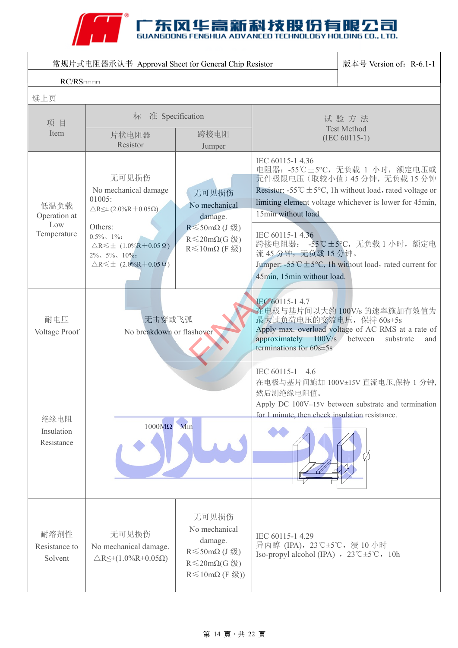# THE SUANGDONG FENGHUA ADVANCED TECHNOLOGY HOLDING CO., LTD.

| 常规片式电阻器承认书 Approval Sheet for General Chip Resistor | 版本号 Version of: R-6.1-1                                                                                                                                                                                                                                |                                                                                                                                                     |                                                                                                                |                                                                                                                                                                                                                                                                                       |
|-----------------------------------------------------|--------------------------------------------------------------------------------------------------------------------------------------------------------------------------------------------------------------------------------------------------------|-----------------------------------------------------------------------------------------------------------------------------------------------------|----------------------------------------------------------------------------------------------------------------|---------------------------------------------------------------------------------------------------------------------------------------------------------------------------------------------------------------------------------------------------------------------------------------|
| RC/RS                                               |                                                                                                                                                                                                                                                        |                                                                                                                                                     |                                                                                                                |                                                                                                                                                                                                                                                                                       |
| 续上页                                                 |                                                                                                                                                                                                                                                        |                                                                                                                                                     |                                                                                                                |                                                                                                                                                                                                                                                                                       |
| 项目                                                  | 准 Specification<br>标                                                                                                                                                                                                                                   |                                                                                                                                                     | 试验方法<br><b>Test Method</b>                                                                                     |                                                                                                                                                                                                                                                                                       |
| Item                                                | 片状电阻器<br>Resistor                                                                                                                                                                                                                                      | 跨接电阻<br>Jumper                                                                                                                                      |                                                                                                                | $(IEC 60115-1)$                                                                                                                                                                                                                                                                       |
| 低温负载<br>Operation at<br>Low<br>Temperature          | 无可见损伤<br>No mechanical damage<br>01005:<br>$\triangle$ R $\leq \pm$ (2.0%R + 0.05 $\Omega$ )<br>Others:<br>$0.5\%$ , 1%:<br>$\triangle R \leq \pm (1.0\%R + 0.05 \Omega)$<br>$2\%$ , $5\%$ , $10\%$ .<br>$\triangle R \leq \pm (2.0\%R + 0.05 \Omega)$ | 无可见损伤<br>No mechanical<br>damage.<br>$R \leqslant 50 \text{m}\Omega$ (J 级)<br>$R \leq 20 \text{m}\Omega(G \text{ }\mathfrak{W})$<br>$R ≤ 10mΩ (F$ ∰ | IEC 60115-1 4.36<br>15min without load<br>IEC 60115-1 4.36<br>流 45 分钟,无负载 15 分钟。<br>45min, 15min without load. | 电阻器: -55℃±5℃, 无负载 1 小时, 额定电压或<br>元件极限电压(取较小值)45分钟,无负载15分钟<br>Resistor: -55 °C $\pm$ 5°C, 1h without load, rated voltage or<br>limiting element voltage whichever is lower for 45min,<br>跨接电阻器: -55℃±5℃, 无负载 1 小时, 额定电<br>Jumper: -55 °C $\pm$ 5°C, 1h without load, rated current for |
| 耐电压<br>Voltage Proof                                | 无击穿或飞弧<br>No breakdown or flashover                                                                                                                                                                                                                    |                                                                                                                                                     | IEC 60115-1 4.7<br>最大过负荷电压的交流电压, 保持 60s±5s<br>approximately 100V/s between<br>terminations for $60s \pm 5s$    | 在电极与基片间以大约 100V/s 的速率施加有效值为<br>Apply max. overload voltage of AC RMS at a rate of<br>substrate<br>and                                                                                                                                                                                 |
| 绝缘电阻<br>Insulation<br>Resistance                    | $1000M\Omega$ Min                                                                                                                                                                                                                                      |                                                                                                                                                     | IEC 60115-1<br>4.6<br>然后测绝缘电阻值。<br>for 1 minute, then check insulation resistance.                             | 在电极与基片间施加 100V±15V 直流电压,保持 1 分钟,<br>Apply DC $100V \pm 15V$ between substrate and termination                                                                                                                                                                                         |
| 耐溶剂性<br>Resistance to<br>Solvent                    | 无可见损伤<br>No mechanical damage.<br>$\triangle R \leq \pm (1.0\%R + 0.05\Omega)$                                                                                                                                                                         | 无可见损伤<br>No mechanical<br>damage.<br>$R$ ≤50mΩ(J级)<br>$R \leq 20 \text{m}\Omega(G \text{ }\mathfrak{W})$<br>$R \leq 10 \text{m}\Omega$ (F 级))       | IEC 60115-1 4.29<br>异丙醇 (IPA), 23℃±5℃, 浸10小时<br>Iso-propyl alcohol (IPA) , $23^{\circ}C \pm 5^{\circ}C$ , 10h  |                                                                                                                                                                                                                                                                                       |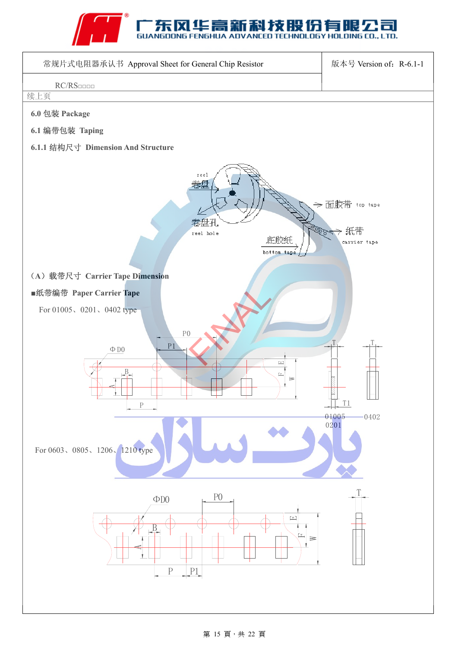



#### 第 15 頁, 共 22 頁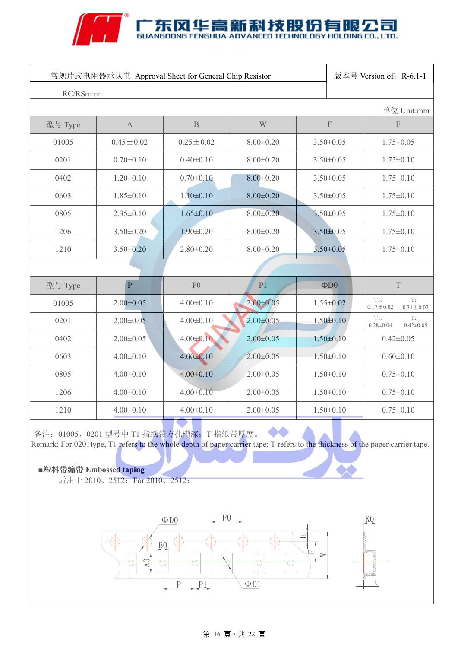#### $\mathcal{U}$  ,  $\begin{array}{ll}\n\mathsf{F} \\
\mathsf{F} \\
\mathsf{F} \\
\mathsf{H} \\
\mathsf{H} \\
\mathsf{H} \\
\mathsf{H} \\
\mathsf{H} \\
\mathsf{H} \\
\mathsf{H} \\
\mathsf{H} \\
\mathsf{H} \\
\mathsf{H} \\
\mathsf{H} \\
\mathsf{H} \\
\mathsf{H} \\
\mathsf{H} \\
\mathsf{H} \\
\mathsf{H} \\
\mathsf{H} \\
\mathsf{H} \\
\mathsf{H} \\
\mathsf{H} \\
\mathsf{H} \\
\mathsf{H} \\
\mathsf{H} \\
\mathsf{H} \\
\mathsf{H} \\
\mathsf{H} \\
\mathsf{H} \\
\math$ . न ECHNOLOGY HOLDING CO., LTD.

| 常规片式电阻器承认书 Approval Sheet for General Chip Resistor |                 |                 |                 | 版本号 Version of: R-6.1-1                |                                    |                        |                       |
|-----------------------------------------------------|-----------------|-----------------|-----------------|----------------------------------------|------------------------------------|------------------------|-----------------------|
| RC/RS                                               |                 |                 |                 |                                        |                                    |                        | 单位 Unit:mm            |
| 型号 Type                                             | $\mathbf{A}$    | $\, {\bf B}$    | W               | $\boldsymbol{\mathrm{F}}$<br>${\bf E}$ |                                    |                        |                       |
| 01005                                               | $0.45 \pm 0.02$ | $0.25 \pm 0.02$ | $8.00 \pm 0.20$ | $3.50 \pm 0.05$                        |                                    | $1.75 \pm 0.05$        |                       |
| 0201                                                | $0.70 \pm 0.10$ | $0.40 \pm 0.10$ | $8.00 \pm 0.20$ | $3.50 \pm 0.05$                        |                                    | $1.75 \pm 0.10$        |                       |
| 0402                                                | $1.20 \pm 0.10$ | $0.70 \pm 0.10$ | $8.00 \pm 0.20$ | $3.50 \pm 0.05$                        |                                    | $1.75 \pm 0.10$        |                       |
| 0603                                                | $1.85 \pm 0.10$ | $1.10 \pm 0.10$ | $8.00 \pm 0.20$ | $3.50 \pm 0.05$                        |                                    | $1.75 \pm 0.10$        |                       |
| 0805                                                | $2.35 \pm 0.10$ | $1.65 \pm 0.10$ | $8.00 \pm 0.20$ | $3.50 \pm 0.05$                        |                                    | $1.75 \pm 0.10$        |                       |
| 1206                                                | $3.50 \pm 0.20$ | $1.90 \pm 0.20$ | $8.00 \pm 0.20$ | $3.50 \pm 0.05$                        |                                    | $1.75 \pm 0.10$        |                       |
| 1210                                                | $3.50 \pm 0.20$ | $2.80 \pm 0.20$ | $8.00 \pm 0.20$ | $3.50 \pm 0.05$                        |                                    | $1.75 \pm 0.10$        |                       |
|                                                     |                 |                 |                 |                                        |                                    |                        |                       |
| 型号 Type                                             | P               | P <sub>0</sub>  | P <sub>1</sub>  |                                        | $\Phi$ D <sub>0</sub>              | T                      |                       |
| 01005                                               | $2.00 \pm 0.05$ | $4.00 \pm 0.10$ | $2.00 \pm 0.05$ |                                        | $1.55 \pm 0.02$                    | T1:<br>$0.17 \pm 0.02$ | T:<br>$0.31 \pm 0.02$ |
| 0201                                                | $2.00 \pm 0.05$ | $4.00 \pm 0.10$ | $2.00 \pm 0.05$ |                                        | $1.50 \pm 0.10$                    | T1:<br>$0.28 \pm 0.04$ | T:<br>$0.42 \pm 0.05$ |
| 0402                                                | $2.00 \pm 0.05$ | $4.00 \pm 0.10$ | $2.00 \pm 0.05$ |                                        | $1.50 \pm 0.10$                    | $0.42 \pm 0.05$        |                       |
| 0603                                                | $4.00 \pm 0.10$ | $4.00 \pm 0.10$ | $2.00 \pm 0.05$ | $1.50 \pm 0.10$<br>$0.60 \pm 0.10$     |                                    |                        |                       |
| 0805                                                | $4.00 \pm 0.10$ | $4.00 \pm 0.10$ | $2.00 \pm 0.05$ |                                        | $1.50 \pm 0.10$<br>$0.75 \pm 0.10$ |                        |                       |
| 1206                                                | $4.00 \pm 0.10$ | $4.00 \pm 0.10$ | $2.00 \pm 0.05$ |                                        | $1.50 \pm 0.10$<br>$0.75 \pm 0.10$ |                        |                       |
| 1210                                                | $4.00 \pm 0.10$ | $4.00 \pm 0.10$ | $2.00 \pm 0.05$ |                                        | $1.50 \pm 0.10$<br>$0.75 \pm 0.10$ |                        |                       |

备注: 01005、0201 型号中 T1 指纸带方孔槽深; T 指纸带厚度。 Remark: For 0201type, T1 refers to the whole depth of paper carrier tape; T refers to the thickness of the paper carrier tape.

■塑料带编带 Embossed taping

适用于 2010、2512: For 2010、2512:



### 第 16 頁, 共 22 頁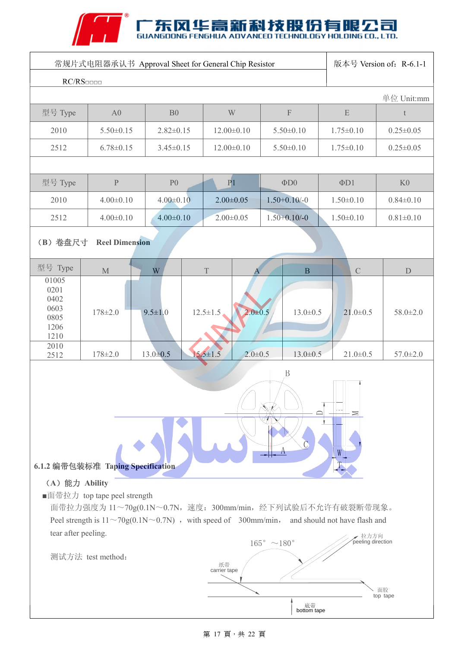# ANT SUANGDONG FENGHUA ADVANCED TECHNOLOGY HOLDING CO., LTD.

| 常规片式电阻器承认书 Approval Sheet for General Chip Resistor                                                                                                         |                    |                 |                                 |                    | 版本号 Version of: R-6.1-1 |                 |
|-------------------------------------------------------------------------------------------------------------------------------------------------------------|--------------------|-----------------|---------------------------------|--------------------|-------------------------|-----------------|
| RC/RS                                                                                                                                                       |                    |                 |                                 |                    |                         |                 |
| 型号 Type                                                                                                                                                     | A <sub>0</sub>     | B <sub>0</sub>  | W                               | $\mathbf F$        | $\mathbf E$             | 单位 Unit:mm<br>t |
| 2010                                                                                                                                                        | $5.50 \pm 0.15$    | $2.82 \pm 0.15$ | $12.00 \pm 0.10$                | $5.50 \pm 0.10$    | $1.75 \pm 0.10$         | $0.25 \pm 0.05$ |
| 2512                                                                                                                                                        | $6.78 \pm 0.15$    | $3.45 \pm 0.15$ | $12.00 \pm 0.10$                | $5.50 \pm 0.10$    | $1.75 \pm 0.10$         | $0.25 \pm 0.05$ |
|                                                                                                                                                             |                    |                 |                                 |                    |                         |                 |
| 型号 Type                                                                                                                                                     | $\mathbf{P}% _{0}$ | P <sub>0</sub>  | P <sub>1</sub>                  | $\Phi$ DO          | $\Phi$ D1               | K <sub>0</sub>  |
| 2010                                                                                                                                                        | $4.00 \pm 0.10$    | $4.00 \pm 0.10$ | $2.00 \pm 0.05$                 | $1.50 + 0.10 / -0$ | $1.50 \pm 0.10$         | $0.84 \pm 0.10$ |
| 2512                                                                                                                                                        | $4.00 \pm 0.10$    | $4.00 \pm 0.10$ | $2.00 \pm 0.05$                 | $1.50 + 0.10 / -0$ | $1.50 \pm 0.10$         | $0.81 \pm 0.10$ |
| (B) 卷盘尺寸<br><b>Reel Dimension</b>                                                                                                                           |                    |                 |                                 |                    |                         |                 |
| 型号 Type                                                                                                                                                     | $\mathbf M$        | W               | $\mathbf T$                     | $\bf{B}$           | $\mathcal{C}$           | ${\mathcal{D}}$ |
| 01005<br>0201<br>0402<br>0603<br>0805<br>1206<br>1210                                                                                                       | $178 \pm 2.0$      | $9.5 \pm 1.0$   | $2.0 + 0.5$<br>$12.5 \pm 1.5$   | $13.0 \pm 0.5$     | $21.0 \pm 0.5$          | $58.0 \pm 2.0$  |
| 2010<br>2512                                                                                                                                                | $178 \pm 2.0$      | $13.0 \pm 0.5$  | $15.5 \pm 1.5$<br>$2.0 \pm 0.5$ | $13.0 \pm 0.5$     | $21.0 \pm 0.5$          | $57.0 \pm 2.0$  |
| $\boldsymbol{B}$<br>≍<br>$\boldsymbol{\mathsf{A}}$<br>W<br>6.1.2 编带包装标准 Taping Specification<br>(A) 能力 Ability<br>■面带拉力 top tape peel strength              |                    |                 |                                 |                    |                         |                 |
| 面带拉力强度为 11~70g(0.1N~0.7N, 速度: 300mm/min, 经下列试验后不允许有破裂断带现象。                                                                                                  |                    |                 |                                 |                    |                         |                 |
| Peel strength is $11 \sim 70g(0.1N \sim 0.7N)$ , with speed of 300mm/min, and should not have flash and<br>tear after peeling.<br>拉力方向<br>peeling direction |                    |                 |                                 |                    |                         |                 |
| $165^{\circ}$ ~180 $^{\circ}$<br>测试方法 test method:<br>纸带<br>carrier tape<br>面胶<br>top tape<br>底带<br>bottom tape                                             |                    |                 |                                 |                    |                         |                 |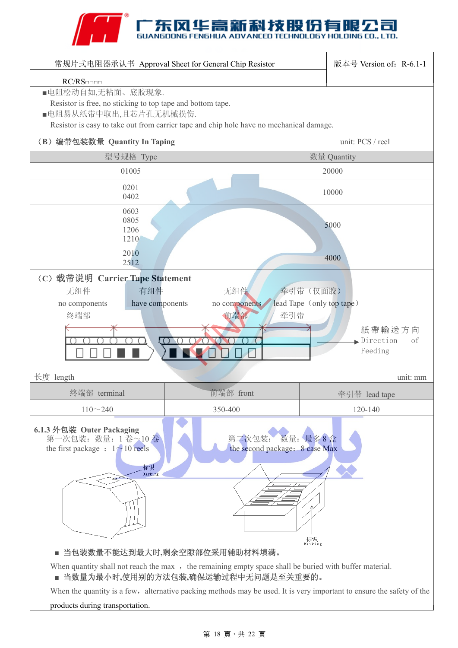### TECHNOLOGY HOLDING CO., LTD.

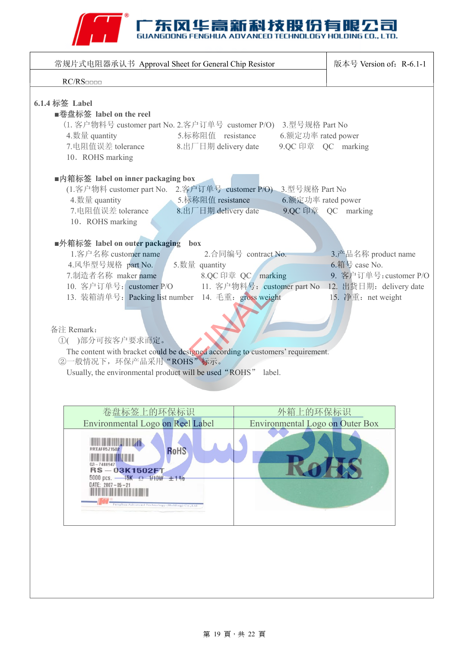

| 常规片式电阻器承认书 Approval Sheet for General Chip Resistor                                                                                                                                                                                                                                                                                                                                                                                                                                                                                                                                                                                                                                                                                                                                                                                                                                                                                                                                     | 版本号 Version of: R-6.1-1 |  |  |  |  |
|-----------------------------------------------------------------------------------------------------------------------------------------------------------------------------------------------------------------------------------------------------------------------------------------------------------------------------------------------------------------------------------------------------------------------------------------------------------------------------------------------------------------------------------------------------------------------------------------------------------------------------------------------------------------------------------------------------------------------------------------------------------------------------------------------------------------------------------------------------------------------------------------------------------------------------------------------------------------------------------------|-------------------------|--|--|--|--|
|                                                                                                                                                                                                                                                                                                                                                                                                                                                                                                                                                                                                                                                                                                                                                                                                                                                                                                                                                                                         |                         |  |  |  |  |
| RC/RS<br>6.1.4 标签 Label<br>■卷盘标签 label on the reel<br>(1. 客户物料号 customer part No. 2.客户订单号 customer P/O) 3.型号规格 Part No<br>4. 数量 quantity<br>5.标称阻值 resistance<br>6.额定功率 rated power<br>7.电阻值误差 tolerance<br>8.出厂日期 delivery date<br>9.QC 印章 QC marking<br>10. ROHS marking<br>■内箱标签 label on inner packaging box<br>(1.客户物料 customer part No. 2.客户订单号 customer P/O) 3.型号规格 Part No<br>4. 数量 quantity<br>5.标称阻值 resistance<br>6.额定功率 rated power<br>9.QC 印章    QC    marking<br>7.电阻值误差 tolerance<br>$8.$ 出厂日期 delivery date<br>10. ROHS marking<br>■外箱标签 label on outer packaging box<br>1. 客户名称 customer name<br>2.合同编号 contract No.<br>3.产品名称 product name<br>6.箱号 case No.<br>4.风华型号规格 part No. 5.数量 quantity<br>7.制造者名称 maker name<br>9. 客户订单号: customer P/O<br>8.QC 印章 QC marking<br>and the control of the control of<br>10. 客户订单号: customer P/O 11. 客户物料号: customer part No 12. 出货日期: delivery date<br>13. 装箱清单号: Packing list number 14. 毛重: gross weight<br>15. 净重: net weight |                         |  |  |  |  |
| 备注 Remark:                                                                                                                                                                                                                                                                                                                                                                                                                                                                                                                                                                                                                                                                                                                                                                                                                                                                                                                                                                              |                         |  |  |  |  |
| ①()部分可按客户要求而定。                                                                                                                                                                                                                                                                                                                                                                                                                                                                                                                                                                                                                                                                                                                                                                                                                                                                                                                                                                          |                         |  |  |  |  |
| The content with bracket could be designed according to customers' requirement.<br>②一般情况下,环保产品采用"ROHS"标示。                                                                                                                                                                                                                                                                                                                                                                                                                                                                                                                                                                                                                                                                                                                                                                                                                                                                               |                         |  |  |  |  |
| Usually, the environmental product will be used "ROHS" label.                                                                                                                                                                                                                                                                                                                                                                                                                                                                                                                                                                                                                                                                                                                                                                                                                                                                                                                           |                         |  |  |  |  |
|                                                                                                                                                                                                                                                                                                                                                                                                                                                                                                                                                                                                                                                                                                                                                                                                                                                                                                                                                                                         |                         |  |  |  |  |
| 卷盘标签上的环保标识<br>外箱上的环保标识                                                                                                                                                                                                                                                                                                                                                                                                                                                                                                                                                                                                                                                                                                                                                                                                                                                                                                                                                                  |                         |  |  |  |  |
| Environmental Logo on Reel Label<br>Environmental Logo on Outer Box                                                                                                                                                                                                                                                                                                                                                                                                                                                                                                                                                                                                                                                                                                                                                                                                                                                                                                                     |                         |  |  |  |  |
| <b>RRXAFR5Z1502</b><br>RoHS<br>$03 - 7488947$<br>RS-03K1502FT<br>5000 pcs. - 15K $\Omega$ 1/10W $\pm 1\%$<br>DATE: $2007 - 05 - 21$<br>Fenghua Advanced Technology (Holding) Co., Ltd.                                                                                                                                                                                                                                                                                                                                                                                                                                                                                                                                                                                                                                                                                                                                                                                                  |                         |  |  |  |  |
|                                                                                                                                                                                                                                                                                                                                                                                                                                                                                                                                                                                                                                                                                                                                                                                                                                                                                                                                                                                         |                         |  |  |  |  |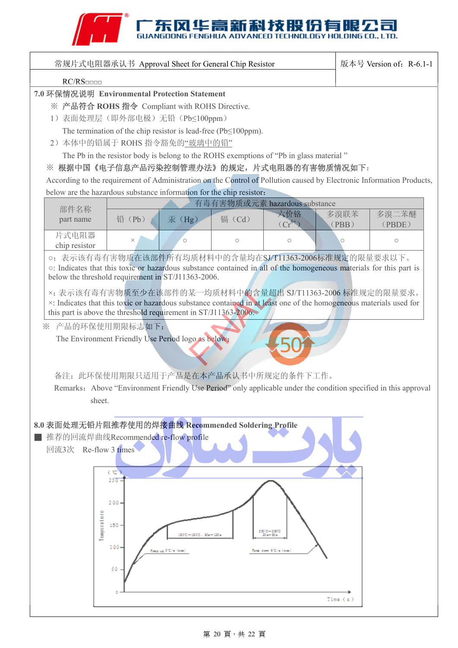### A THE SUANGDONG FENGHUA ADVANCED TECHNOLOGY HOLDING CO., LTD.

| 常规片式电阻器承认书 Approval Sheet for General Chip Resistor                                                                   | 版本号 Version of: R-6.1-1          |
|-----------------------------------------------------------------------------------------------------------------------|----------------------------------|
| RC/RS                                                                                                                 |                                  |
| 7.0 环保情况说明 Environmental Protection Statement                                                                         |                                  |
| ※ 产品符合 ROHS 指令 Compliant with ROHS Directive.                                                                         |                                  |
| 1) 表面处理层(即外部电极)无铅(Pb<100ppm)                                                                                          |                                  |
| The termination of the chip resistor is lead-free ( $Pb \le 100$ ppm).                                                |                                  |
| 2) 本体中的铅属于 ROHS 指令豁免的"玻璃中的铅"                                                                                          |                                  |
|                                                                                                                       |                                  |
| The Pb in the resistor body is belong to the ROHS exemptions of "Pb in glass material"                                |                                  |
| ※ 根据中国《电子信息产品污染控制管理办法》的规定, 片式电阻器的有害物质情况如下:                                                                            |                                  |
| According to the requirement of Administration on the Control of Pollution caused by Electronic Information Products, |                                  |
| below are the hazardous substance information for the chip resistor:                                                  |                                  |
| 有毒有害物质或元素 hazardous substance<br>部件名称                                                                                 |                                  |
| 六价铬<br>铅 (Pb)<br>汞 (Hg)<br>镉(Cd)<br>part name<br>$(Cr^{6+})$                                                          | 多溴二苯醚<br>多溴联苯<br>(PBB)<br>(PBDE) |
| 片式电阻器                                                                                                                 |                                  |
| $\circ$<br>$\times$<br>$\bigcirc$<br>$\circ$<br>chip resistor                                                         | $\bigcirc$<br>Ω                  |
| o: 表示该有毒有害物质在该部件所有均质材料中的含量均在SJ/T11363-2006标准规定的限量要求以下。                                                                |                                  |
| o: Indicates that this toxic or hazardous substance contained in all of the homogeneous materials for this part is    |                                  |
| below the threshold requirement in ST/J11363-2006.                                                                    |                                  |
| ×: 表示该有毒有害物质至少在该部件的某一均质材料中的含量超出 SJ/T11363-2006 标准规定的限量要求。                                                             |                                  |
| x: Indicates that this toxic or hazardous substance contained in at least one of the homogeneous materials used for   |                                  |
| this part is above the threshold requirement in ST/J11363-2006.                                                       |                                  |
| ※ 产品的环保使用期限标志如下:                                                                                                      |                                  |
| The Environment Friendly Use Period logo as below:                                                                    |                                  |
|                                                                                                                       |                                  |
|                                                                                                                       |                                  |
| 备注: 此环保使用期限只适用于产品是在本产品承认书中所规定的条件下工作。                                                                                  |                                  |
| Remarks: Above "Environment Friendly Use Period" only applicable under the condition specified in this approval       |                                  |
| sheet.                                                                                                                |                                  |
|                                                                                                                       |                                  |
|                                                                                                                       |                                  |
| 8.0 表面处理无铅片阻推荐使用的焊接曲线 Recommended Soldering Profile                                                                   |                                  |
| 推荐的回流焊曲线Recommended re-flow profile                                                                                   |                                  |
| 回流3次 Re-flow 3 times                                                                                                  |                                  |
|                                                                                                                       |                                  |
| $\circ$<br>$250 -$                                                                                                    |                                  |
|                                                                                                                       |                                  |
| 200.                                                                                                                  |                                  |
|                                                                                                                       |                                  |
| 150.                                                                                                                  |                                  |
| Temperature<br>320.0-320.0<br>1500—1800. 602—1202<br>20 am 50 a                                                       |                                  |
| 100                                                                                                                   |                                  |
| Rang up 510/x (mm)<br>Rom dom 612/a (nm)                                                                              |                                  |
| 50                                                                                                                    |                                  |
|                                                                                                                       |                                  |
|                                                                                                                       |                                  |
|                                                                                                                       | Time (s)                         |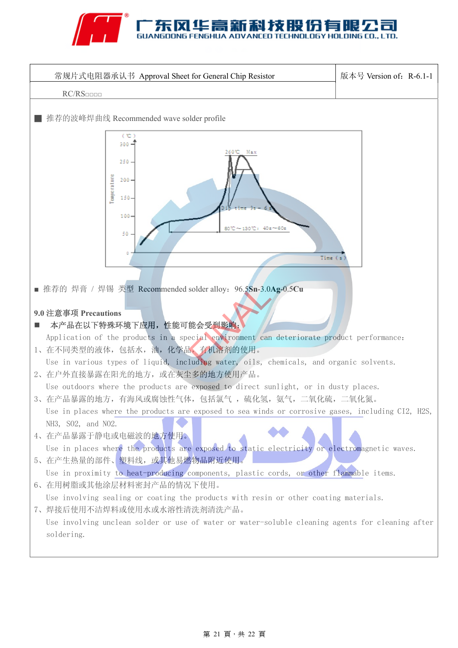